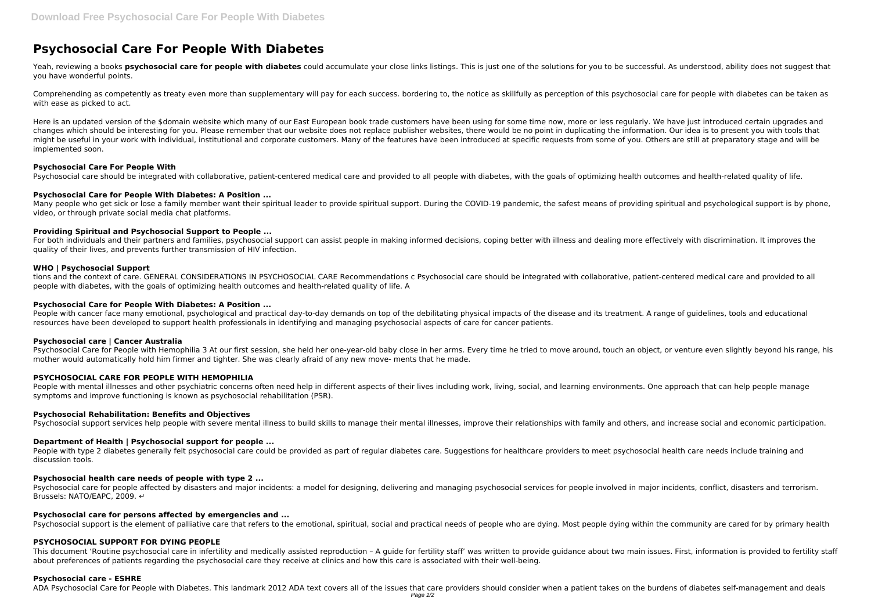# **Psychosocial Care For People With Diabetes**

Yeah, reviewing a books **psychosocial care for people with diabetes** could accumulate your close links listings. This is just one of the solutions for you to be successful. As understood, ability does not suggest that you have wonderful points.

Comprehending as competently as treaty even more than supplementary will pay for each success. bordering to, the notice as skillfully as perception of this psychosocial care for people with diabetes can be taken as with ease as picked to act.

Here is an updated version of the \$domain website which many of our East European book trade customers have been using for some time now, more or less regularly. We have just introduced certain upgrades and changes which should be interesting for you. Please remember that our website does not replace publisher websites, there would be no point in duplicating the information. Our idea is to present you with tools that might be useful in your work with individual, institutional and corporate customers. Many of the features have been introduced at specific requests from some of you. Others are still at preparatory stage and will be implemented soon.

Many people who get sick or lose a family member want their spiritual leader to provide spiritual support. During the COVID-19 pandemic, the safest means of providing spiritual and psychological support is by phone, video, or through private social media chat platforms.

#### **Psychosocial Care For People With**

Psychosocial care should be integrated with collaborative, patient-centered medical care and provided to all people with diabetes, with the goals of optimizing health outcomes and health-related quality of life.

People with cancer face many emotional, psychological and practical day-to-day demands on top of the debilitating physical impacts of the disease and its treatment. A range of guidelines, tools and educational resources have been developed to support health professionals in identifying and managing psychosocial aspects of care for cancer patients.

# **Psychosocial Care for People With Diabetes: A Position ...**

People with mental illnesses and other psychiatric concerns often need help in different aspects of their lives including work, living, social, and learning environments. One approach that can help people manage symptoms and improve functioning is known as psychosocial rehabilitation (PSR).

# **Providing Spiritual and Psychosocial Support to People ...**

For both individuals and their partners and families, psychosocial support can assist people in making informed decisions, coping better with illness and dealing more effectively with discrimination. It improves the quality of their lives, and prevents further transmission of HIV infection.

People with type 2 diabetes generally felt psychosocial care could be provided as part of regular diabetes care. Suggestions for healthcare providers to meet psychosocial health care needs include training and discussion tools.

# **WHO | Psychosocial Support**

tions and the context of care. GENERAL CONSIDERATIONS IN PSYCHOSOCIAL CARE Recommendations c Psychosocial care should be integrated with collaborative, patient-centered medical care and provided to all people with diabetes, with the goals of optimizing health outcomes and health-related quality of life. A

# **Psychosocial Care for People With Diabetes: A Position ...**

This document 'Routine psychosocial care in infertility and medically assisted reproduction - A quide for fertility staff' was written to provide quidance about two main issues. First, information is provided to fertility about preferences of patients regarding the psychosocial care they receive at clinics and how this care is associated with their well-being.

#### **Psychosocial care | Cancer Australia**

Psychosocial Care for People with Hemophilia 3 At our first session, she held her one-year-old baby close in her arms. Every time he tried to move around, touch an object, or venture even slightly beyond his range, his mother would automatically hold him firmer and tighter. She was clearly afraid of any new move- ments that he made.

# **PSYCHOSOCIAL CARE FOR PEOPLE WITH HEMOPHILIA**

#### **Psychosocial Rehabilitation: Benefits and Objectives**

Psychosocial support services help people with severe mental illness to build skills to manage their mental illnesses, improve their relationships with family and others, and increase social and economic participation.

# **Department of Health | Psychosocial support for people ...**

#### **Psychosocial health care needs of people with type 2 ...**

Psychosocial care for people affected by disasters and major incidents: a model for designing, delivering and managing psychosocial services for people involved in major incidents, conflict, disasters and terrorism. Brussels: NATO/EAPC, 2009. ↔

#### **Psychosocial care for persons affected by emergencies and ...**

Psychosocial support is the element of palliative care that refers to the emotional, spiritual, social and practical needs of people who are dying. Most people dying within the community are cared for by primary health

#### **PSYCHOSOCIAL SUPPORT FOR DYING PEOPLE**

#### **Psychosocial care - ESHRE**

ADA Psychosocial Care for People with Diabetes. This landmark 2012 ADA text covers all of the issues that care providers should consider when a patient takes on the burdens of diabetes self-management and deals